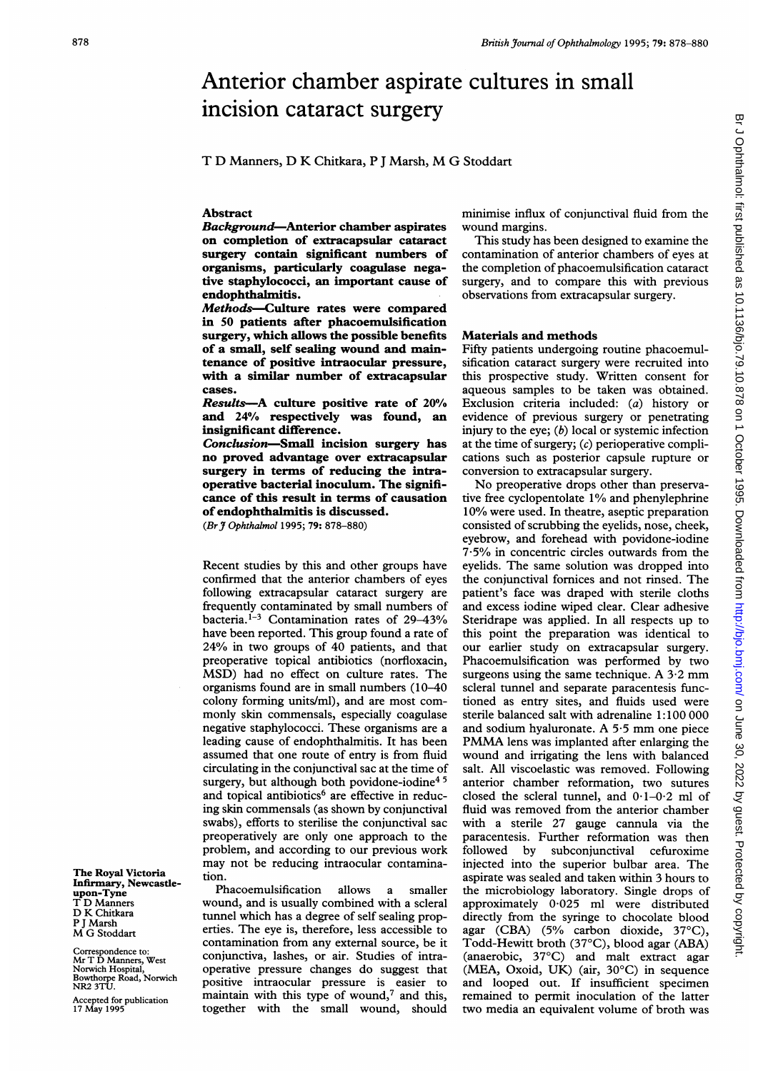# Anterior chamber aspirate cultures in small incision cataract surgery

T D Manners, D K Chitkara, <sup>P</sup> <sup>J</sup> Marsh, M G Stoddart

### Abstract

Background-Anterior chamber aspirates on completion of extracapsular cataract surgery contain significant numbers of organisms, particularly coagulase negative staphylococci, an important cause of endophthalmitis.

Methods-Culture rates were compared in 50 patients after phacoemulsification surgery, which allows the possible benefits of a small, self sealing wound and maintenance of positive intraocular pressure, with a similar number of extracapsular cases.

Results-A culture positive rate of 20% and 24% respectively was found, an insignificant difference.

Conclusion-Small incision surgery has no proved advantage over extracapsular surgery in terms of reducing the intraoperative bacterial inoculum. The significance of this result in terms of causation of endophthalmitis is discussed.

(Br  $\frac{9}{10}$  Ophthalmol 1995; 79: 878-880)

Recent studies by this and other groups have confirmed that the anterior chambers of eyes following extracapsular cataract surgery are frequently contaminated by small numbers of bacteria.<sup>1-3</sup> Contamination rates of 29-43% have been reported. This group found a rate of 24% in two groups of 40 patients, and that preoperative topical antibiotics (norfloxacin, MSD) had no effect on culture rates. The organisms found are in small numbers (10-40 colony forming units/ml), and are most commonly skin commensals, especially coagulase negative staphylococci. These organisms are a leading cause of endophthalmitis. It has been assumed that one route of entry is from fluid circulating in the conjunctival sac at the time of surgery, but although both povidone-iodine<sup>45</sup> and topical antibiotics<sup>6</sup> are effective in reducing skin commensals (as shown by conjunctival swabs), efforts to sterilise the conjunctival sac preoperatively are only one approach to the problem, and according to our previous work may not be reducing intraocular contamination.

Phacoemulsification allows a smaller wound, and is usually combined with a scleral tunnel which has a degree of self sealing properties. The eye is, therefore, less accessible to contamination from any external source, be it conjunctiva, lashes, or air. Studies of intraoperative pressure changes do suggest that positive intraocular pressure is easier to maintain with this type of wound, $7$  and this, together with the small wound, should

minimise influx of conjunctival fluid from the wound margins.

This study has been designed to examine the contamination of anterior chambers of eyes at the completion of phacoemulsification cataract surgery, and to compare this with previous observations from extracapsular surgery.

## Materials and methods

Fifty patients undergoing routine phacoemulsification cataract surgery were recruited into this prospective study. Written consent for aqueous samples to be taken was obtained. Exclusion criteria included: (a) history or evidence of previous surgery or penetrating injury to the eye;  $(b)$  local or systemic infection at the time of surgery;  $(c)$  perioperative complications such as posterior capsule rupture or conversion to extracapsular surgery.

No preoperative drops other than preservative free cyclopentolate 1% and phenylephrine 10% were used. In theatre, aseptic preparation consisted of scrubbing the eyelids, nose, cheek, eyebrow, and forehead with povidone-iodine  $7.5\%$  in concentric circles outwards from the eyelids. The same solution was dropped into the conjunctival fornices and not rinsed. The patient's face was draped with sterile cloths and excess iodine wiped clear. Clear adhesive Steridrape was applied. In all respects up to this point the preparation was identical to our earlier study on extracapsular surgery. Phacoemulsification was performed by two surgeons using the same technique. A  $3.2$  mm scleral tunnel and separate paracentesis functioned as entry sites, and fluids used were sterile balanced salt with adrenaline 1:100 000 and sodium hyaluronate. A 5-5 mm one piece PMMA lens was implanted after enlarging the wound and irrigating the lens with balanced salt. All viscoelastic was removed. Following anterior chamber reformation, two sutures closed the scleral tunnel, and  $0.1-0.2$  ml of fluid was removed from the anterior chamber with a sterile 27 gauge cannula via the paracentesis. Further reformation was then<br>followed by subconjunctival cefuroxime subconjunctival cefuroxime injected into the superior bulbar area. The aspirate was sealed and taken within 3 hours to the microbiology laboratory. Single drops of approximately 0-025 ml were distributed directly from the syringe to chocolate blood agar (CBA) (5% carbon dioxide, 37°C), Todd-Hewitt broth (37°C), blood agar (ABA) (anaerobic, 37°C) and malt extract agar (MEA, Oxoid, UK) (air, 30'C) in sequence and looped out. If insufficient specimen remained to permit inoculation of the latter two media an equivalent volume of broth was

The Royal Victoria Infirmary, Newcasdeupon-Tyne T D Manners D K Chitkara P <sup>J</sup> Marsh M G Stoddart

Correspondence to: Mr T D Manners, West Norwich Hospital, Bowthorpe Road, Norwich NR2 3TU.

Accepted for publication <sup>17</sup> May 1995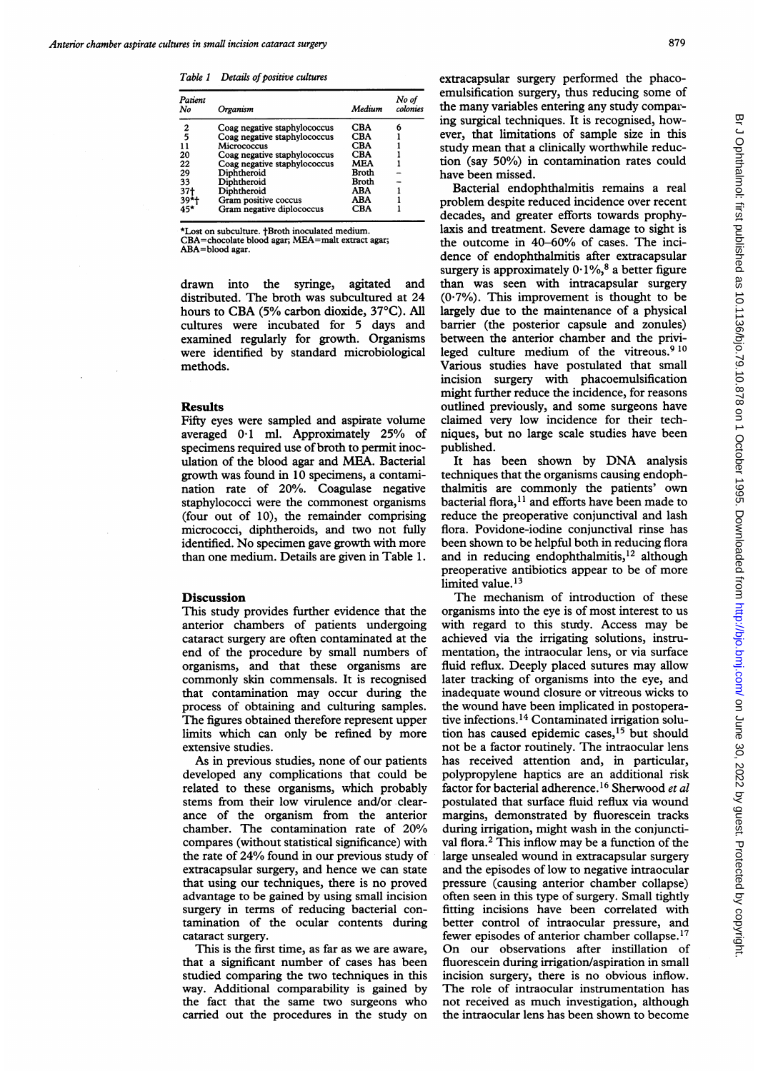Table 1 Details of positive cultures

| Patient<br>No | Organism                     | Medium | No of<br>colonies |
|---------------|------------------------------|--------|-------------------|
| 2             | Coag negative staphylococcus | CBA    | 6                 |
| 5             | Coag negative staphylococcus | CBA    |                   |
| 11            | Micrococcus                  | CBA    |                   |
| 20            | Coag negative staphylococcus | CBA    |                   |
| 22            | Coag negative staphylococcus | MEA    |                   |
| 29            | Diphtheroid                  | Broth  |                   |
| 33            | Diphtheroid                  | Broth  |                   |
| 37†           | Diphtheroid                  | ABA    |                   |
| $39+$         | Gram positive coccus         | ABA    |                   |
| 45*           | Gram negative diplococcus    | CBA    |                   |

\*Lost on subculture. tBroth inoculated medium. CBA=chocolate blood agar; MEA=malt extract agar;

ABA=blood agar.

drawn into the syringe, agitated and distributed. The broth was subcultured at 24 hours to CBA (5% carbon dioxide, 37°C). All cultures were incubated for 5 days and examined regularly for growth. Organisms were identified by standard microbiological methods.

#### **Results**

Fifty eyes were sampled and aspirate volume averaged 0.1 ml. Approximately 25% of specimens required use of broth to permit inoculation of the blood agar and MEA. Bacterial growth was found in 10 specimens, a contamination rate of 20%. Coagulase negative staphylococci were the commonest organisms (four out of 10), the remainder comprising micrococci, diphtheroids, and two not fully identified. No specimen gave growth with more than one medium. Details are given in Table 1.

#### **Discussion**

This study provides further evidence that the anterior chambers of patients undergoing cataract surgery are often contaminated at the end of the procedure by small numbers of organisms, and that these organisms are commonly skin commensals. It is recognised that contamination may occur during the process of obtaining and culturing samples. The figures obtained therefore represent upper limits which can only be refined by more extensive studies.

As in previous studies, none of our patients developed any complications that could be related to these organisms, which probably stems from their low virulence and/or clearance of the organism from the anterior chamber. The contamination rate of 20% compares (without statistical significance) with the rate of 24% found in our previous study of extracapsular surgery, and hence we can state that using our techniques, there is no proved advantage to be gained by using small incision surgery in terms of reducing bacterial contamination of the ocular contents during cataract surgery.

This is the first time, as far as we are aware, that a significant number of cases has been studied comparing the two techniques in this way. Additional comparability is gained by the fact that the same two surgeons who carried out the procedures in the study on extracapsular surgery performed the phacoemulsification surgery, thus reducing some of the many variables entering any study comparing surgical techniques. It is recognised, however, that limitations of sample size in this study mean that a clinically worthwhile reduction (say 50%) in contamination rates could have been missed.

Bacterial endophthalmitis remains a real problem despite reduced incidence over recent decades, and greater efforts towards prophylaxis and treatment. Severe damage to sight is the outcome in 40-60% of cases. The incidence of endophthalmitis after extracapsular surgery is approximately  $0.1\%$ ,<sup>8</sup> a better figure than was seen with intracapsular surgery  $(0.7\%)$ . This improvement is thought to be largely due to the maintenance of a physical barrier (the posterior capsule and zonules) between the anterior chamber and the privileged culture medium of the vitreous.<sup>9 10</sup> Various studies have postulated that small incision surgery with phacoemulsification might further reduce the incidence, for reasons outlined previously, and some surgeons have claimed very low incidence for their techniques, but no large scale studies have been published.

It has been shown by DNA analysis techniques that the organisms causing endophthalmitis are commonly the patients' own bacterial flora, $11$  and efforts have been made to reduce the preoperative conjunctival and lash flora. Povidone-iodine conjunctival rinse has been shown to be helpful both in reducing flora and in reducing endophthalmitis, $12$  although preoperative antibiotics appear to be of more limited value.<sup>13</sup>

The mechanism of introduction of these organisms into the eye is of most interest to us with regard to this sturdy. Access may be achieved via the irrigating solutions, instrumentation, the intraocular lens, or via surface fluid reflux. Deeply placed sutures may allow later tracking of organisms into the eye, and inadequate wound closure or vitreous wicks to the wound have been implicated in postoperative infections. <sup>14</sup> Contaminated irrigation solution has caused epidemic cases,<sup>15</sup> but should not be a factor routinely. The intraocular lens has received attention and, in particular, polypropylene haptics are an additional risk factor for bacterial adherence.16 Sherwood et al postulated that surface fluid reflux via wound margins, demonstrated by fluorescein tracks during irrigation, might wash in the conjunctival flora.2 This inflow may be <sup>a</sup> function of the large unsealed wound in extracapsular surgery and the episodes of low to negative intraocular pressure (causing anterior chamber collapse) often seen in this type of surgery. Small tightly fitting incisions have been correlated with better control of intraocular pressure, and fewer episodes of anterior chamber collapse.<sup>17</sup> On our observations after instillation of fluorescein during irrigation/aspiration in small incision surgery, there is no obvious inflow. The role of intraocular instrumentation has not received as much investigation, although the intraocular lens has been shown to become